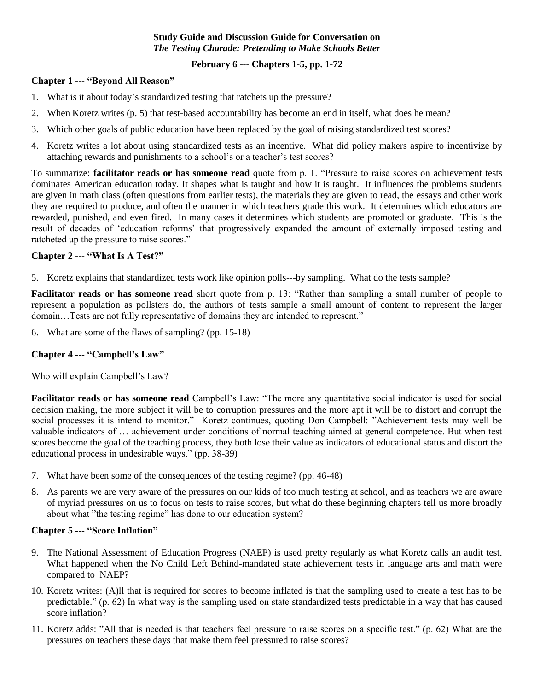#### **Study Guide and Discussion Guide for Conversation on**  *The Testing Charade: Pretending to Make Schools Better*

## **February 6 --- Chapters 1-5, pp. 1-72**

#### **Chapter 1 --- "Beyond All Reason"**

- 1. What is it about today's standardized testing that ratchets up the pressure?
- 2. When Koretz writes (p. 5) that test-based accountability has become an end in itself, what does he mean?
- 3. Which other goals of public education have been replaced by the goal of raising standardized test scores?
- 4. Koretz writes a lot about using standardized tests as an incentive. What did policy makers aspire to incentivize by attaching rewards and punishments to a school's or a teacher's test scores?

To summarize: **facilitator reads or has someone read** quote from p. 1. "Pressure to raise scores on achievement tests dominates American education today. It shapes what is taught and how it is taught. It influences the problems students are given in math class (often questions from earlier tests), the materials they are given to read, the essays and other work they are required to produce, and often the manner in which teachers grade this work. It determines which educators are rewarded, punished, and even fired. In many cases it determines which students are promoted or graduate. This is the result of decades of 'education reforms' that progressively expanded the amount of externally imposed testing and ratcheted up the pressure to raise scores."

## **Chapter 2 --- "What Is A Test?"**

5. Koretz explains that standardized tests work like opinion polls---by sampling. What do the tests sample?

**Facilitator reads or has someone read** short quote from p. 13: "Rather than sampling a small number of people to represent a population as pollsters do, the authors of tests sample a small amount of content to represent the larger domain…Tests are not fully representative of domains they are intended to represent."

6. What are some of the flaws of sampling? (pp. 15-18)

# **Chapter 4 --- "Campbell's Law"**

Who will explain Campbell's Law?

**Facilitator reads or has someone read** Campbell's Law: "The more any quantitative social indicator is used for social decision making, the more subject it will be to corruption pressures and the more apt it will be to distort and corrupt the social processes it is intend to monitor." Koretz continues, quoting Don Campbell: "Achievement tests may well be valuable indicators of … achievement under conditions of normal teaching aimed at general competence. But when test scores become the goal of the teaching process, they both lose their value as indicators of educational status and distort the educational process in undesirable ways." (pp. 38-39)

- 7. What have been some of the consequences of the testing regime? (pp. 46-48)
- 8. As parents we are very aware of the pressures on our kids of too much testing at school, and as teachers we are aware of myriad pressures on us to focus on tests to raise scores, but what do these beginning chapters tell us more broadly about what "the testing regime" has done to our education system?

# **Chapter 5 --- "Score Inflation"**

- 9. The National Assessment of Education Progress (NAEP) is used pretty regularly as what Koretz calls an audit test. What happened when the No Child Left Behind-mandated state achievement tests in language arts and math were compared to NAEP?
- 10. Koretz writes: (A)ll that is required for scores to become inflated is that the sampling used to create a test has to be predictable." (p. 62) In what way is the sampling used on state standardized tests predictable in a way that has caused score inflation?
- 11. Koretz adds: "All that is needed is that teachers feel pressure to raise scores on a specific test." (p. 62) What are the pressures on teachers these days that make them feel pressured to raise scores?